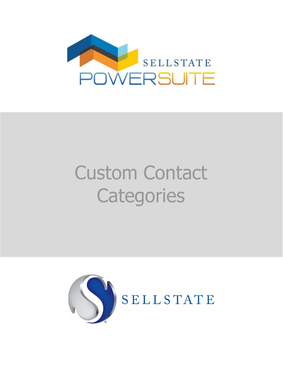

# Custom Contact **Categories**

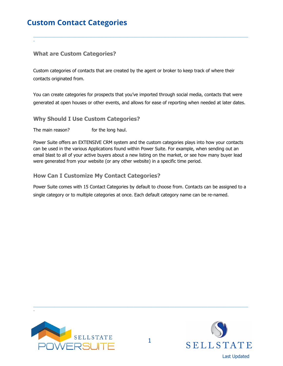## **Custom Contact Categories**

## **What are Custom Categories?**

\_

Custom categories of contacts that are created by the agent or broker to keep track of where their contacts originated from.

You can create categories for prospects that you've imported through social media, contacts that were generated at open houses or other events, and allows for ease of reporting when needed at later dates.

\_\_\_\_\_\_\_\_\_\_\_\_\_\_\_\_\_\_\_\_\_\_\_\_\_\_\_\_\_\_\_\_\_\_\_\_\_\_\_\_\_\_\_\_\_\_\_\_\_\_\_\_\_\_\_\_\_\_\_\_\_\_\_\_\_\_\_\_\_\_\_\_\_\_\_\_\_\_\_\_\_\_\_\_\_\_\_\_\_\_\_\_\_\_\_\_\_\_\_\_\_\_\_\_\_\_\_\_\_\_\_\_\_\_\_\_\_\_\_\_\_\_\_\_\_\_\_\_\_\_\_\_\_\_\_\_\_\_\_\_\_\_

**Why Should I Use Custom Categories?**

The main reason? for the long haul.

Power Suite offers an EXTENSIVE CRM system and the custom categories plays into how your contacts can be used in the various Applications found within Power Suite. For example, when sending out an email blast to all of your active buyers about a new listing on the market, or see how many buyer lead were generated from your website (or any other website) in a specific time period.

**How Can I Customize My Contact Categories?**

Power Suite comes with 15 Contact Categories by default to choose from. Contacts can be assigned to a single category or to multiple categories at once. Each default category name can be re-named.



\_



\_\_\_\_\_\_\_\_\_\_\_\_\_\_\_\_\_\_\_\_\_\_\_\_\_\_\_\_\_\_\_\_\_\_\_\_\_\_\_\_\_\_\_\_\_\_\_\_\_\_\_\_\_\_\_\_\_\_\_\_\_\_\_\_\_\_\_\_\_\_\_\_\_\_\_\_\_\_\_\_\_\_\_\_\_\_\_\_\_\_\_\_\_\_\_\_\_\_\_\_\_\_\_\_\_\_\_\_\_\_\_\_\_\_\_\_\_\_\_\_\_\_\_\_\_\_\_\_\_\_\_\_\_\_\_\_\_\_\_\_\_\_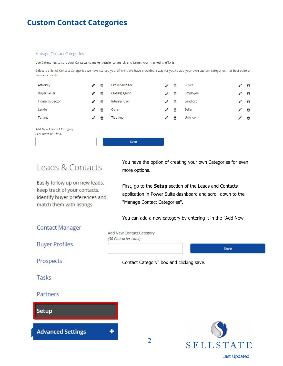## **Custom Contact Categories**

#### Manage Contact Categories

\_

Use Categories to sort your Contacts to make it easier to search and target your marketing efforts.

Below is a list of Contact Categories we have started you off with. We have provided a way for you to add your own custom categories that best suite yo business needs.

\_\_\_\_\_\_\_\_\_\_\_\_\_\_\_\_\_\_\_\_\_\_\_\_\_\_\_\_\_\_\_\_\_\_\_\_\_\_\_\_\_\_\_\_\_\_\_\_\_\_\_\_\_\_\_\_\_\_\_\_\_\_\_\_\_\_\_\_\_\_\_\_\_\_\_\_\_\_\_\_\_\_\_\_\_\_\_\_\_\_\_\_\_\_\_\_\_\_\_\_\_\_\_\_\_\_\_\_\_\_\_\_\_\_\_\_\_\_\_\_\_\_\_\_\_\_\_\_\_\_\_\_\_\_\_\_\_\_\_\_\_\_

| Attorney                                         | Ø | û | Broker/Realtor       | Ø | 命 | Buyer          | Ø   | $\widehat{\overline{\mathbf{u}}}$ |  |
|--------------------------------------------------|---|---|----------------------|---|---|----------------|-----|-----------------------------------|--|
| Buyer/Seller                                     | Ø | ŵ | <b>Closing Agent</b> | v | 命 | Employee       |     | Ô                                 |  |
| Home Inspector                                   | Ø | û | Internal User        | Ø | û | Landlord       | ii) | $\hat{\overline{\mathbf{u}}}$     |  |
| Lender                                           | Ø | û | Other                | Ø | 命 | Seller         | Ø   | 命                                 |  |
| Tenant                                           | Ø | 命 | <b>Title Agent</b>   | Ø | Ô | <b>Unknown</b> | Ø   | 命                                 |  |
| Add New Contact Category<br>(30 Character Limit) |   |   |                      |   |   |                |     |                                   |  |
|                                                  |   |   | Save                 |   |   |                |     |                                   |  |

# Leads & Contacts

Easily follow up on new leads, keep track of your contacts, identify buyer preferences and match them with listings.

You have the option of creating your own Categories for even more options.

First, go to the **Setup** section of the Leads and Contacts application in Power Suite dashboard and scroll down to the "Manage Contact Categories".

You can add a new category by entering it in the "Add New

### **Contact Manager**

Add New Contact Category (30 Character Limit)

**Buyer Profiles** 

Prospects

Contact Category" box and clicking save.

Tasks

#### Partners

#### Setup

**Advanced Settings** 



\_\_\_\_\_\_\_\_\_\_\_\_\_\_\_\_\_\_\_\_\_\_\_\_\_\_\_\_\_\_\_\_\_\_\_\_\_\_\_\_\_\_\_\_\_\_\_\_\_\_\_\_\_\_\_\_\_\_\_\_\_\_\_\_\_\_\_\_\_\_\_\_\_\_\_\_\_\_\_\_\_\_\_\_\_\_\_\_\_\_\_\_\_\_\_\_\_\_\_\_\_\_\_\_\_\_\_\_\_\_\_\_\_\_\_\_\_\_\_\_\_\_\_\_\_\_\_\_\_\_\_\_\_\_\_\_\_\_\_\_\_\_

Save